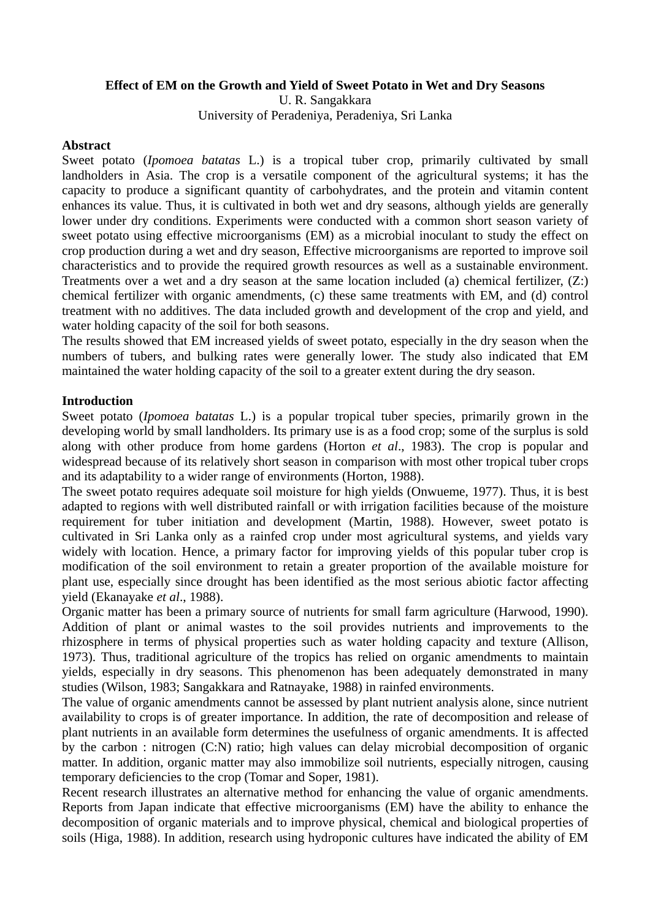## **Effect of EM on the Growth and Yield of Sweet Potato in Wet and Dry Seasons**

U. R. Sangakkara University of Peradeniya, Peradeniya, Sri Lanka

### **Abstract**

Sweet potato (*Ipomoea batatas* L.) is a tropical tuber crop, primarily cultivated by small landholders in Asia. The crop is a versatile component of the agricultural systems; it has the capacity to produce a significant quantity of carbohydrates, and the protein and vitamin content enhances its value. Thus, it is cultivated in both wet and dry seasons, although yields are generally lower under dry conditions. Experiments were conducted with a common short season variety of sweet potato using effective microorganisms (EM) as a microbial inoculant to study the effect on crop production during a wet and dry season, Effective microorganisms are reported to improve soil characteristics and to provide the required growth resources as well as a sustainable environment. Treatments over a wet and a dry season at the same location included (a) chemical fertilizer, (Z:) chemical fertilizer with organic amendments, (c) these same treatments with EM, and (d) control treatment with no additives. The data included growth and development of the crop and yield, and water holding capacity of the soil for both seasons.

The results showed that EM increased yields of sweet potato, especially in the dry season when the numbers of tubers, and bulking rates were generally lower. The study also indicated that EM maintained the water holding capacity of the soil to a greater extent during the dry season.

### **Introduction**

Sweet potato (*Ipomoea batatas* L.) is a popular tropical tuber species, primarily grown in the developing world by small landholders. Its primary use is as a food crop; some of the surplus is sold along with other produce from home gardens (Horton *et al*., 1983). The crop is popular and widespread because of its relatively short season in comparison with most other tropical tuber crops and its adaptability to a wider range of environments (Horton, 1988).

The sweet potato requires adequate soil moisture for high yields (Onwueme, 1977). Thus, it is best adapted to regions with well distributed rainfall or with irrigation facilities because of the moisture requirement for tuber initiation and development (Martin, 1988). However, sweet potato is cultivated in Sri Lanka only as a rainfed crop under most agricultural systems, and yields vary widely with location. Hence, a primary factor for improving yields of this popular tuber crop is modification of the soil environment to retain a greater proportion of the available moisture for plant use, especially since drought has been identified as the most serious abiotic factor affecting yield (Ekanayake *et al*., 1988).

Organic matter has been a primary source of nutrients for small farm agriculture (Harwood, 1990). Addition of plant or animal wastes to the soil provides nutrients and improvements to the rhizosphere in terms of physical properties such as water holding capacity and texture (Allison, 1973). Thus, traditional agriculture of the tropics has relied on organic amendments to maintain yields, especially in dry seasons. This phenomenon has been adequately demonstrated in many studies (Wilson, 1983; Sangakkara and Ratnayake, 1988) in rainfed environments.

The value of organic amendments cannot be assessed by plant nutrient analysis alone, since nutrient availability to crops is of greater importance. In addition, the rate of decomposition and release of plant nutrients in an available form determines the usefulness of organic amendments. It is affected by the carbon : nitrogen (C:N) ratio; high values can delay microbial decomposition of organic matter. In addition, organic matter may also immobilize soil nutrients, especially nitrogen, causing temporary deficiencies to the crop (Tomar and Soper, 1981).

Recent research illustrates an alternative method for enhancing the value of organic amendments. Reports from Japan indicate that effective microorganisms (EM) have the ability to enhance the decomposition of organic materials and to improve physical, chemical and biological properties of soils (Higa, 1988). In addition, research using hydroponic cultures have indicated the ability of EM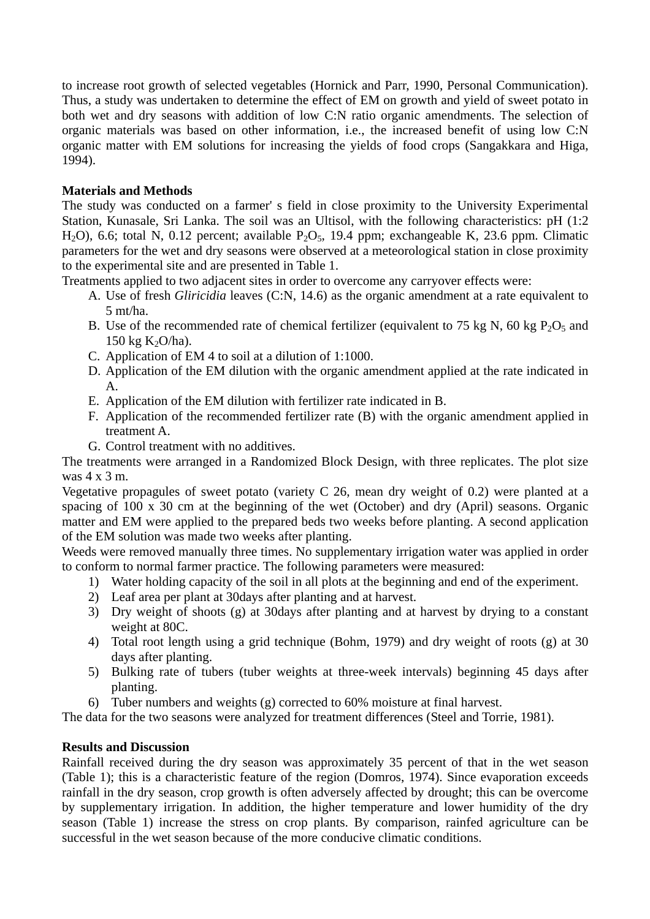to increase root growth of selected vegetables (Hornick and Parr, 1990, Personal Communication). Thus, a study was undertaken to determine the effect of EM on growth and yield of sweet potato in both wet and dry seasons with addition of low C:N ratio organic amendments. The selection of organic materials was based on other information, i.e., the increased benefit of using low C:N organic matter with EM solutions for increasing the yields of food crops (Sangakkara and Higa, 1994).

# **Materials and Methods**

The study was conducted on a farmer' s field in close proximity to the University Experimental Station, Kunasale, Sri Lanka. The soil was an Ultisol, with the following characteristics: pH (1:2 H<sub>2</sub>O), 6.6; total N, 0.12 percent; available P<sub>2</sub>O<sub>5</sub>, 19.4 ppm; exchangeable K, 23.6 ppm. Climatic parameters for the wet and dry seasons were observed at a meteorological station in close proximity to the experimental site and are presented in Table 1.

Treatments applied to two adjacent sites in order to overcome any carryover effects were:

- A. Use of fresh *Gliricidia* leaves (C:N, 14.6) as the organic amendment at a rate equivalent to 5 mt/ha.
- B. Use of the recommended rate of chemical fertilizer (equivalent to 75 kg N, 60 kg  $P_2O_5$  and 150 kg  $K_2O/ha$ ).
- C. Application of EM 4 to soil at a dilution of 1:1000.
- D. Application of the EM dilution with the organic amendment applied at the rate indicated in A.
- E. Application of the EM dilution with fertilizer rate indicated in B.
- F. Application of the recommended fertilizer rate (B) with the organic amendment applied in treatment A.
- G. Control treatment with no additives.

The treatments were arranged in a Randomized Block Design, with three replicates. The plot size was 4 x 3 m.

Vegetative propagules of sweet potato (variety C 26, mean dry weight of 0.2) were planted at a spacing of 100 x 30 cm at the beginning of the wet (October) and dry (April) seasons. Organic matter and EM were applied to the prepared beds two weeks before planting. A second application of the EM solution was made two weeks after planting.

Weeds were removed manually three times. No supplementary irrigation water was applied in order to conform to normal farmer practice. The following parameters were measured:

- 1) Water holding capacity of the soil in all plots at the beginning and end of the experiment.
- 2) Leaf area per plant at 30days after planting and at harvest.
- 3) Dry weight of shoots (g) at 30days after planting and at harvest by drying to a constant weight at 80C.
- 4) Total root length using a grid technique (Bohm, 1979) and dry weight of roots (g) at 30 days after planting.
- 5) Bulking rate of tubers (tuber weights at three-week intervals) beginning 45 days after planting.
- 6) Tuber numbers and weights (g) corrected to 60% moisture at final harvest.

The data for the two seasons were analyzed for treatment differences (Steel and Torrie, 1981).

# **Results and Discussion**

Rainfall received during the dry season was approximately 35 percent of that in the wet season (Table 1); this is a characteristic feature of the region (Domros, 1974). Since evaporation exceeds rainfall in the dry season, crop growth is often adversely affected by drought; this can be overcome by supplementary irrigation. In addition, the higher temperature and lower humidity of the dry season (Table 1) increase the stress on crop plants. By comparison, rainfed agriculture can be successful in the wet season because of the more conducive climatic conditions.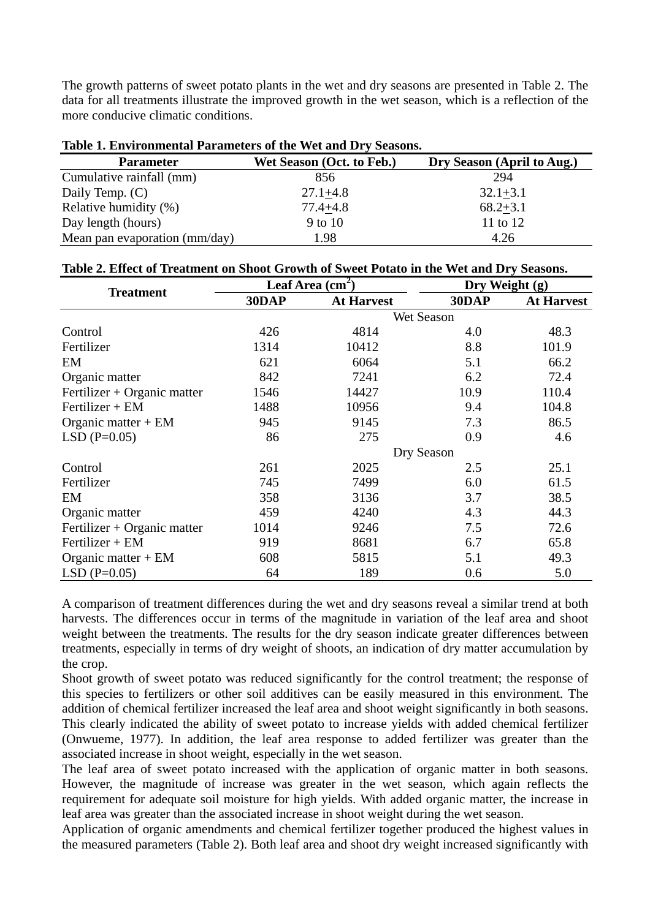The growth patterns of sweet potato plants in the wet and dry seasons are presented in Table 2. The data for all treatments illustrate the improved growth in the wet season, which is a reflection of the more conducive climatic conditions.

| Table 1. Environmental I alameters of the viet and DTV Seasons. |                           |                            |  |
|-----------------------------------------------------------------|---------------------------|----------------------------|--|
| <b>Parameter</b>                                                | Wet Season (Oct. to Feb.) | Dry Season (April to Aug.) |  |
| Cumulative rainfall (mm)                                        | 856                       | 294                        |  |
| Daily Temp. (C)                                                 | $27.1 + 4.8$              | $32.1 + 3.1$               |  |
| Relative humidity (%)                                           | $77.4 + 4.8$              | $68.2 + 3.1$               |  |
| Day length (hours)                                              | 9 to 10                   | 11 to 12                   |  |
| Mean pan evaporation (mm/day)                                   | 1.98                      | 4.26                       |  |

# **Table 1. Environmental Parameters of the Wet and Dry Seasons.**

| <b>Treatment</b>            | Leaf Area $(cm2)$ |                   | Dry Weight (g) |                   |
|-----------------------------|-------------------|-------------------|----------------|-------------------|
|                             | 30DAP             | <b>At Harvest</b> | 30DAP          | <b>At Harvest</b> |
|                             |                   |                   | Wet Season     |                   |
| Control                     | 426               | 4814              | 4.0            | 48.3              |
| Fertilizer                  | 1314              | 10412             | 8.8            | 101.9             |
| EM                          | 621               | 6064              | 5.1            | 66.2              |
| Organic matter              | 842               | 7241              | 6.2            | 72.4              |
| Fertilizer + Organic matter | 1546              | 14427             | 10.9           | 110.4             |
| $Fertilizer + EM$           | 1488              | 10956             | 9.4            | 104.8             |
| Organic matter $+$ EM       | 945               | 9145              | 7.3            | 86.5              |
| $LSD$ (P=0.05)              | 86                | 275               | 0.9            | 4.6               |
|                             | Dry Season        |                   |                |                   |
| Control                     | 261               | 2025              | 2.5            | 25.1              |
| Fertilizer                  | 745               | 7499              | 6.0            | 61.5              |
| EM                          | 358               | 3136              | 3.7            | 38.5              |
| Organic matter              | 459               | 4240              | 4.3            | 44.3              |
| Fertilizer + Organic matter | 1014              | 9246              | 7.5            | 72.6              |
| $Fertilizer + EM$           | 919               | 8681              | 6.7            | 65.8              |
| Organic matter $+$ EM       | 608               | 5815              | 5.1            | 49.3              |
| $LSD$ (P=0.05)              | 64                | 189               | 0.6            | 5.0               |

A comparison of treatment differences during the wet and dry seasons reveal a similar trend at both harvests. The differences occur in terms of the magnitude in variation of the leaf area and shoot weight between the treatments. The results for the dry season indicate greater differences between treatments, especially in terms of dry weight of shoots, an indication of dry matter accumulation by the crop.

Shoot growth of sweet potato was reduced significantly for the control treatment; the response of this species to fertilizers or other soil additives can be easily measured in this environment. The addition of chemical fertilizer increased the leaf area and shoot weight significantly in both seasons. This clearly indicated the ability of sweet potato to increase yields with added chemical fertilizer (Onwueme, 1977). In addition, the leaf area response to added fertilizer was greater than the associated increase in shoot weight, especially in the wet season.

The leaf area of sweet potato increased with the application of organic matter in both seasons. However, the magnitude of increase was greater in the wet season, which again reflects the requirement for adequate soil moisture for high yields. With added organic matter, the increase in leaf area was greater than the associated increase in shoot weight during the wet season.

Application of organic amendments and chemical fertilizer together produced the highest values in the measured parameters (Table 2). Both leaf area and shoot dry weight increased significantly with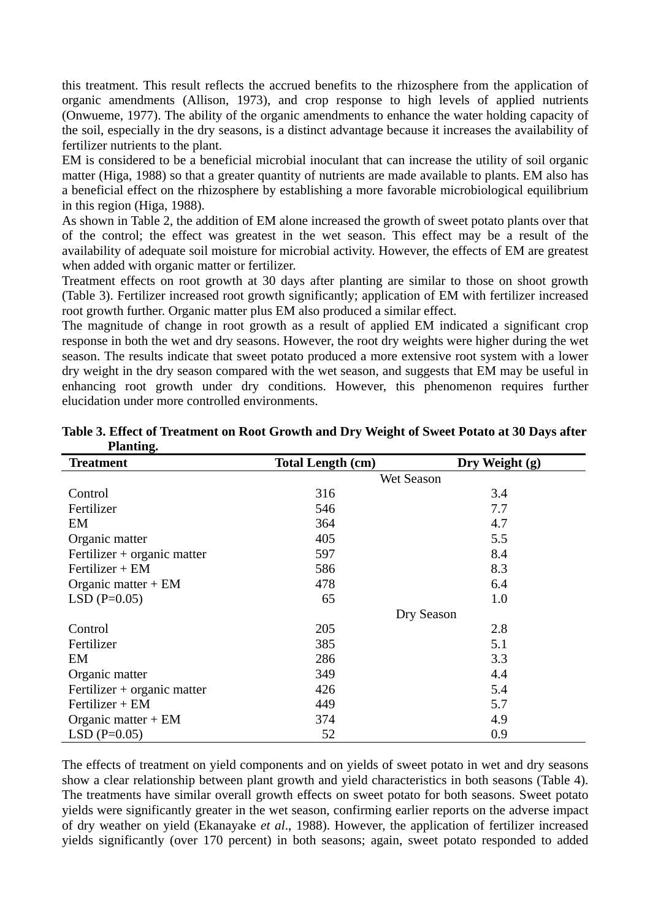this treatment. This result reflects the accrued benefits to the rhizosphere from the application of organic amendments (Allison, 1973), and crop response to high levels of applied nutrients (Onwueme, 1977). The ability of the organic amendments to enhance the water holding capacity of the soil, especially in the dry seasons, is a distinct advantage because it increases the availability of fertilizer nutrients to the plant.

EM is considered to be a beneficial microbial inoculant that can increase the utility of soil organic matter (Higa, 1988) so that a greater quantity of nutrients are made available to plants. EM also has a beneficial effect on the rhizosphere by establishing a more favorable microbiological equilibrium in this region (Higa, 1988).

As shown in Table 2, the addition of EM alone increased the growth of sweet potato plants over that of the control; the effect was greatest in the wet season. This effect may be a result of the availability of adequate soil moisture for microbial activity. However, the effects of EM are greatest when added with organic matter or fertilizer.

Treatment effects on root growth at 30 days after planting are similar to those on shoot growth (Table 3). Fertilizer increased root growth significantly; application of EM with fertilizer increased root growth further. Organic matter plus EM also produced a similar effect.

The magnitude of change in root growth as a result of applied EM indicated a significant crop response in both the wet and dry seasons. However, the root dry weights were higher during the wet season. The results indicate that sweet potato produced a more extensive root system with a lower dry weight in the dry season compared with the wet season, and suggests that EM may be useful in enhancing root growth under dry conditions. However, this phenomenon requires further elucidation under more controlled environments.

| <b>Treatment</b>            | <b>Total Length (cm)</b> | Dry Weight (g) |
|-----------------------------|--------------------------|----------------|
|                             | Wet Season               |                |
| Control                     | 316                      | 3.4            |
| Fertilizer                  | 546                      | 7.7            |
| EM                          | 364                      | 4.7            |
| Organic matter              | 405                      | 5.5            |
| Fertilizer + organic matter | 597                      | 8.4            |
| $Fertilizer + EM$           | 586                      | 8.3            |
| Organic matter $+$ EM       | 478                      | 6.4            |
| $LSD(P=0.05)$               | 65                       | 1.0            |
|                             | Dry Season               |                |
| Control                     | 205                      | 2.8            |
| Fertilizer                  | 385                      | 5.1            |
| EM                          | 286                      | 3.3            |
| Organic matter              | 349                      | 4.4            |
| Fertilizer + organic matter | 426                      | 5.4            |
| $Fertilizer + EM$           | 449                      | 5.7            |
| Organic matter $+$ EM       | 374                      | 4.9            |
| $LSD(P=0.05)$               | 52                       | 0.9            |

**Table 3. Effect of Treatment on Root Growth and Dry Weight of Sweet Potato at 30 Days after Planting.** 

The effects of treatment on yield components and on yields of sweet potato in wet and dry seasons show a clear relationship between plant growth and yield characteristics in both seasons (Table 4). The treatments have similar overall growth effects on sweet potato for both seasons. Sweet potato yields were significantly greater in the wet season, confirming earlier reports on the adverse impact of dry weather on yield (Ekanayake *et al*., 1988). However, the application of fertilizer increased yields significantly (over 170 percent) in both seasons; again, sweet potato responded to added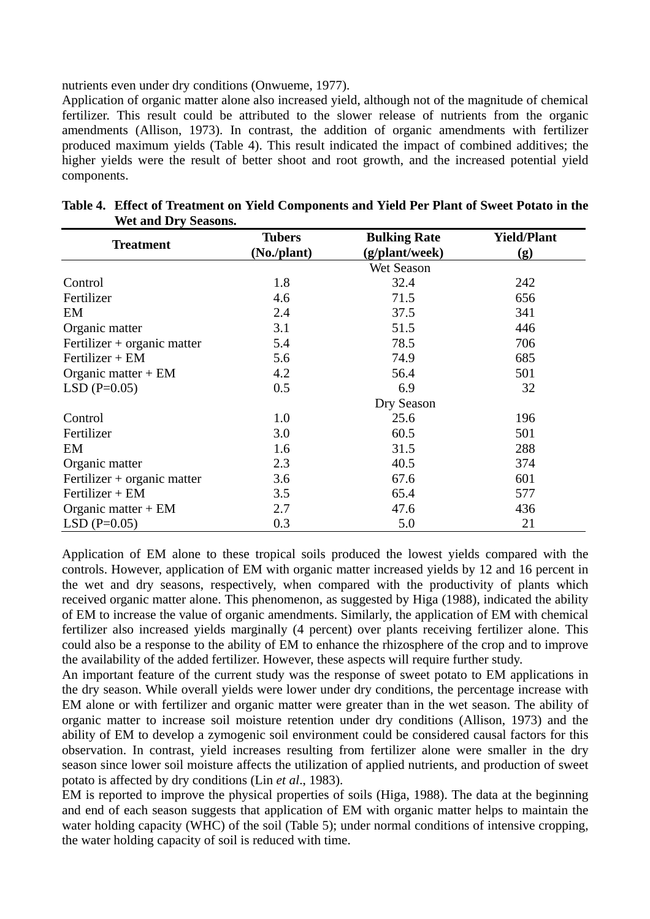nutrients even under dry conditions (Onwueme, 1977).

Application of organic matter alone also increased yield, although not of the magnitude of chemical fertilizer. This result could be attributed to the slower release of nutrients from the organic amendments (Allison, 1973). In contrast, the addition of organic amendments with fertilizer produced maximum yields (Table 4). This result indicated the impact of combined additives; the higher yields were the result of better shoot and root growth, and the increased potential yield components.

| <b>Treatment</b>            | <b>Tubers</b> | <b>Bulking Rate</b> | <b>Yield/Plant</b> |
|-----------------------------|---------------|---------------------|--------------------|
|                             | (No./plant)   | (g/plant/week)      | (g)                |
|                             |               | Wet Season          |                    |
| Control                     | 1.8           | 32.4                | 242                |
| Fertilizer                  | 4.6           | 71.5                | 656                |
| EM                          | 2.4           | 37.5                | 341                |
| Organic matter              | 3.1           | 51.5                | 446                |
| Fertilizer + organic matter | 5.4           | 78.5                | 706                |
| $Fertilizer + EM$           | 5.6           | 74.9                | 685                |
| Organic matter $+$ EM       | 4.2           | 56.4                | 501                |
| $LSD$ (P=0.05)              | 0.5           | 6.9                 | 32                 |
|                             |               | Dry Season          |                    |
| Control                     | 1.0           | 25.6                | 196                |
| Fertilizer                  | 3.0           | 60.5                | 501                |
| EM                          | 1.6           | 31.5                | 288                |
| Organic matter              | 2.3           | 40.5                | 374                |
| Fertilizer + organic matter | 3.6           | 67.6                | 601                |
| $Fertilizer + EM$           | 3.5           | 65.4                | 577                |
| Organic matter $+$ EM       | 2.7           | 47.6                | 436                |
| $LSD(P=0.05)$               | 0.3           | 5.0                 | 21                 |

| Table 4. Effect of Treatment on Yield Components and Yield Per Plant of Sweet Potato in the |  |
|---------------------------------------------------------------------------------------------|--|
| <b>Wet and Dry Seasons.</b>                                                                 |  |

Application of EM alone to these tropical soils produced the lowest yields compared with the controls. However, application of EM with organic matter increased yields by 12 and 16 percent in the wet and dry seasons, respectively, when compared with the productivity of plants which received organic matter alone. This phenomenon, as suggested by Higa (1988), indicated the ability of EM to increase the value of organic amendments. Similarly, the application of EM with chemical fertilizer also increased yields marginally (4 percent) over plants receiving fertilizer alone. This could also be a response to the ability of EM to enhance the rhizosphere of the crop and to improve the availability of the added fertilizer. However, these aspects will require further study.

An important feature of the current study was the response of sweet potato to EM applications in the dry season. While overall yields were lower under dry conditions, the percentage increase with EM alone or with fertilizer and organic matter were greater than in the wet season. The ability of organic matter to increase soil moisture retention under dry conditions (Allison, 1973) and the ability of EM to develop a zymogenic soil environment could be considered causal factors for this observation. In contrast, yield increases resulting from fertilizer alone were smaller in the dry season since lower soil moisture affects the utilization of applied nutrients, and production of sweet potato is affected by dry conditions (Lin *et al*., 1983).

EM is reported to improve the physical properties of soils (Higa, 1988). The data at the beginning and end of each season suggests that application of EM with organic matter helps to maintain the water holding capacity (WHC) of the soil (Table 5); under normal conditions of intensive cropping, the water holding capacity of soil is reduced with time.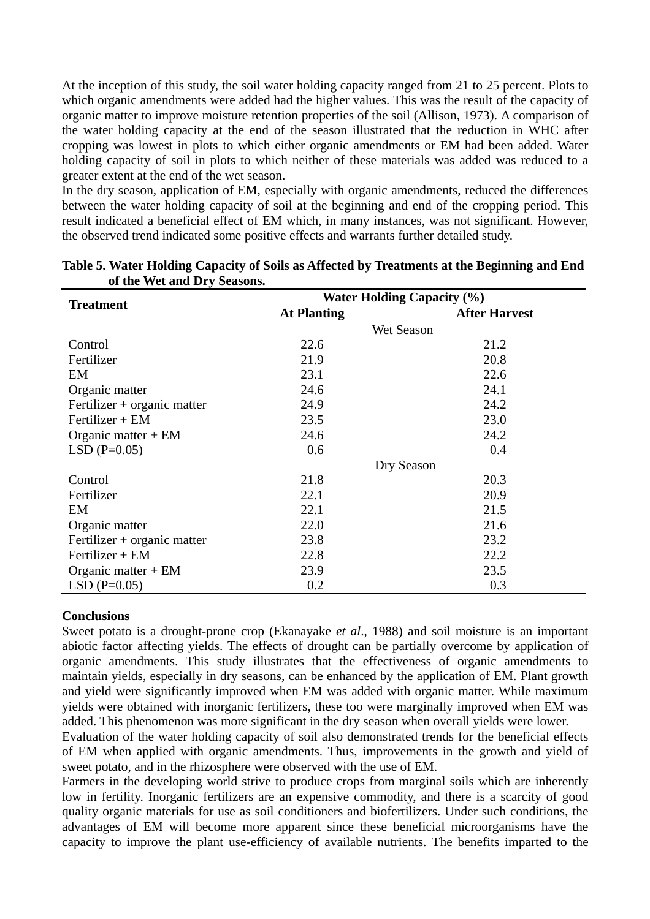At the inception of this study, the soil water holding capacity ranged from 21 to 25 percent. Plots to which organic amendments were added had the higher values. This was the result of the capacity of organic matter to improve moisture retention properties of the soil (Allison, 1973). A comparison of the water holding capacity at the end of the season illustrated that the reduction in WHC after cropping was lowest in plots to which either organic amendments or EM had been added. Water holding capacity of soil in plots to which neither of these materials was added was reduced to a greater extent at the end of the wet season.

In the dry season, application of EM, especially with organic amendments, reduced the differences between the water holding capacity of soil at the beginning and end of the cropping period. This result indicated a beneficial effect of EM which, in many instances, was not significant. However, the observed trend indicated some positive effects and warrants further detailed study.

| <b>Treatment</b>            | <b>Water Holding Capacity (%)</b> |                      |  |
|-----------------------------|-----------------------------------|----------------------|--|
|                             | <b>At Planting</b>                | <b>After Harvest</b> |  |
|                             |                                   | Wet Season           |  |
| Control                     | 22.6                              | 21.2                 |  |
| Fertilizer                  | 21.9                              | 20.8                 |  |
| EM                          | 23.1                              | 22.6                 |  |
| Organic matter              | 24.6                              | 24.1                 |  |
| Fertilizer + organic matter | 24.9                              | 24.2                 |  |
| $Fertilizer + EM$           | 23.5                              | 23.0                 |  |
| Organic matter $+$ EM       | 24.6                              | 24.2                 |  |
| $LSD$ (P=0.05)              | 0.6                               | 0.4                  |  |
|                             |                                   | Dry Season           |  |
| Control                     | 21.8                              | 20.3                 |  |
| Fertilizer                  | 22.1                              | 20.9                 |  |
| EM                          | 22.1                              | 21.5                 |  |
| Organic matter              | 22.0                              | 21.6                 |  |
| Fertilizer + organic matter | 23.8                              | 23.2                 |  |
| $Fertilizer + EM$           | 22.8                              | 22.2                 |  |
| Organic matter $+$ EM       | 23.9                              | 23.5                 |  |
| $LSD(P=0.05)$               | 0.2                               | 0.3                  |  |

|                             | Table 5. Water Holding Capacity of Soils as Affected by Treatments at the Beginning and End |
|-----------------------------|---------------------------------------------------------------------------------------------|
| of the Wet and Dry Seasons. |                                                                                             |

## **Conclusions**

Sweet potato is a drought-prone crop (Ekanayake *et al*., 1988) and soil moisture is an important abiotic factor affecting yields. The effects of drought can be partially overcome by application of organic amendments. This study illustrates that the effectiveness of organic amendments to maintain yields, especially in dry seasons, can be enhanced by the application of EM. Plant growth and yield were significantly improved when EM was added with organic matter. While maximum yields were obtained with inorganic fertilizers, these too were marginally improved when EM was added. This phenomenon was more significant in the dry season when overall yields were lower.

Evaluation of the water holding capacity of soil also demonstrated trends for the beneficial effects of EM when applied with organic amendments. Thus, improvements in the growth and yield of sweet potato, and in the rhizosphere were observed with the use of EM.

Farmers in the developing world strive to produce crops from marginal soils which are inherently low in fertility. Inorganic fertilizers are an expensive commodity, and there is a scarcity of good quality organic materials for use as soil conditioners and biofertilizers. Under such conditions, the advantages of EM will become more apparent since these beneficial microorganisms have the capacity to improve the plant use-efficiency of available nutrients. The benefits imparted to the